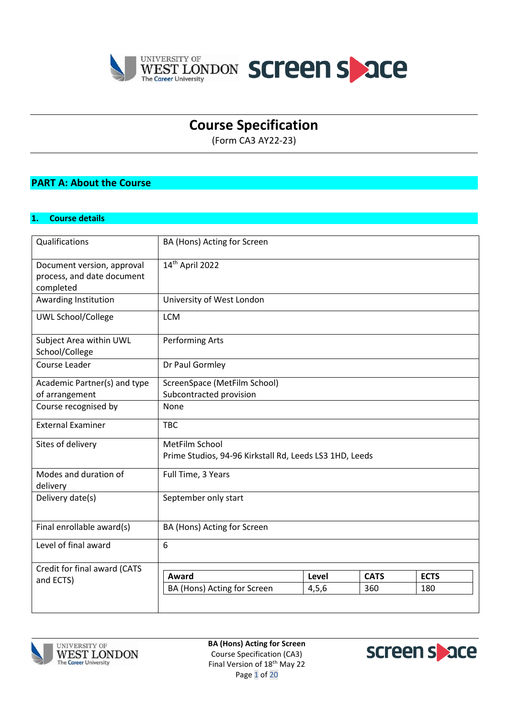



# **Course Specification**

(Form CA3 AY22-23)

## **PART A: About the Course**

#### **1. Course details**

| Qualifications                                                        | BA (Hons) Acting for Screen                                               |         |             |             |  |  |  |
|-----------------------------------------------------------------------|---------------------------------------------------------------------------|---------|-------------|-------------|--|--|--|
| Document version, approval<br>process, and date document<br>completed | 14th April 2022                                                           |         |             |             |  |  |  |
| Awarding Institution                                                  | University of West London                                                 |         |             |             |  |  |  |
| <b>UWL School/College</b>                                             | <b>LCM</b>                                                                |         |             |             |  |  |  |
| Subject Area within UWL<br>School/College                             | <b>Performing Arts</b>                                                    |         |             |             |  |  |  |
| Course Leader                                                         | Dr Paul Gormley                                                           |         |             |             |  |  |  |
| Academic Partner(s) and type<br>of arrangement                        | ScreenSpace (MetFilm School)<br>Subcontracted provision                   |         |             |             |  |  |  |
| Course recognised by                                                  | None                                                                      |         |             |             |  |  |  |
| <b>External Examiner</b>                                              | <b>TBC</b>                                                                |         |             |             |  |  |  |
| Sites of delivery                                                     | MetFilm School<br>Prime Studios, 94-96 Kirkstall Rd, Leeds LS3 1HD, Leeds |         |             |             |  |  |  |
| Modes and duration of<br>delivery                                     | Full Time, 3 Years                                                        |         |             |             |  |  |  |
| Delivery date(s)                                                      | September only start                                                      |         |             |             |  |  |  |
| Final enrollable award(s)                                             | BA (Hons) Acting for Screen                                               |         |             |             |  |  |  |
| Level of final award                                                  | 6                                                                         |         |             |             |  |  |  |
| Credit for final award (CATS                                          |                                                                           |         |             |             |  |  |  |
| and ECTS)                                                             | Award                                                                     | Level   | <b>CATS</b> | <b>ECTS</b> |  |  |  |
|                                                                       | BA (Hons) Acting for Screen                                               | 4, 5, 6 | 360         | 180         |  |  |  |
|                                                                       |                                                                           |         |             |             |  |  |  |



**BA (Hons) Acting for Screen** Course Specification (CA3) Final Version of 18<sup>th</sup> May 22 Page 1 of 20

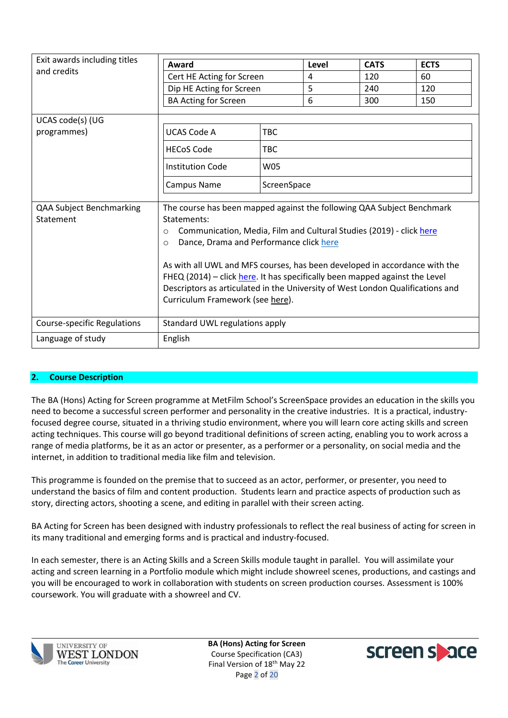| Exit awards including titles          |                                                                                       |             |       |             |             |  |  |  |
|---------------------------------------|---------------------------------------------------------------------------------------|-------------|-------|-------------|-------------|--|--|--|
| and credits                           | Award                                                                                 |             | Level | <b>CATS</b> | <b>ECTS</b> |  |  |  |
|                                       | Cert HE Acting for Screen                                                             |             | 4     | 120         | 60          |  |  |  |
|                                       | Dip HE Acting for Screen                                                              | 5           | 240   | 120         |             |  |  |  |
|                                       | <b>BA Acting for Screen</b>                                                           |             | 6     | 300         | 150         |  |  |  |
|                                       |                                                                                       |             |       |             |             |  |  |  |
| UCAS code(s) (UG                      |                                                                                       |             |       |             |             |  |  |  |
| programmes)                           | UCAS Code A                                                                           | <b>TBC</b>  |       |             |             |  |  |  |
|                                       | <b>HECoS Code</b>                                                                     | <b>TBC</b>  |       |             |             |  |  |  |
|                                       | <b>Institution Code</b>                                                               | <b>W05</b>  |       |             |             |  |  |  |
|                                       | Campus Name                                                                           | ScreenSpace |       |             |             |  |  |  |
|                                       |                                                                                       |             |       |             |             |  |  |  |
| QAA Subject Benchmarking<br>Statement | The course has been mapped against the following QAA Subject Benchmark<br>Statements: |             |       |             |             |  |  |  |
|                                       | Communication, Media, Film and Cultural Studies (2019) - click here<br>$\circ$        |             |       |             |             |  |  |  |
|                                       | Dance, Drama and Performance click here<br>$\circ$                                    |             |       |             |             |  |  |  |
|                                       |                                                                                       |             |       |             |             |  |  |  |
|                                       | As with all UWL and MFS courses, has been developed in accordance with the            |             |       |             |             |  |  |  |
|                                       | FHEQ (2014) - click here. It has specifically been mapped against the Level           |             |       |             |             |  |  |  |
|                                       | Descriptors as articulated in the University of West London Qualifications and        |             |       |             |             |  |  |  |
|                                       | Curriculum Framework (see here).                                                      |             |       |             |             |  |  |  |
| <b>Course-specific Regulations</b>    | Standard UWL regulations apply                                                        |             |       |             |             |  |  |  |
| Language of study                     | English                                                                               |             |       |             |             |  |  |  |

## **2. Course Description**

The BA (Hons) Acting for Screen programme at MetFilm School's ScreenSpace provides an education in the skills you need to become a successful screen performer and personality in the creative industries. It is a practical, industryfocused degree course, situated in a thriving studio environment, where you will learn core acting skills and screen acting techniques. This course will go beyond traditional definitions of screen acting, enabling you to work across a range of media platforms, be it as an actor or presenter, as a performer or a personality, on social media and the internet, in addition to traditional media like film and television.

This programme is founded on the premise that to succeed as an actor, performer, or presenter, you need to understand the basics of film and content production. Students learn and practice aspects of production such as story, directing actors, shooting a scene, and editing in parallel with their screen acting.

BA Acting for Screen has been designed with industry professionals to reflect the real business of acting for screen in its many traditional and emerging forms and is practical and industry-focused.

In each semester, there is an Acting Skills and a Screen Skills module taught in parallel. You will assimilate your acting and screen learning in a Portfolio module which might include showreel scenes, productions, and castings and you will be encouraged to work in collaboration with students on screen production courses. Assessment is 100% coursework. You will graduate with a showreel and CV.



**BA (Hons) Acting for Screen** Course Specification (CA3) Final Version of 18th May 22 Page 2 of 20

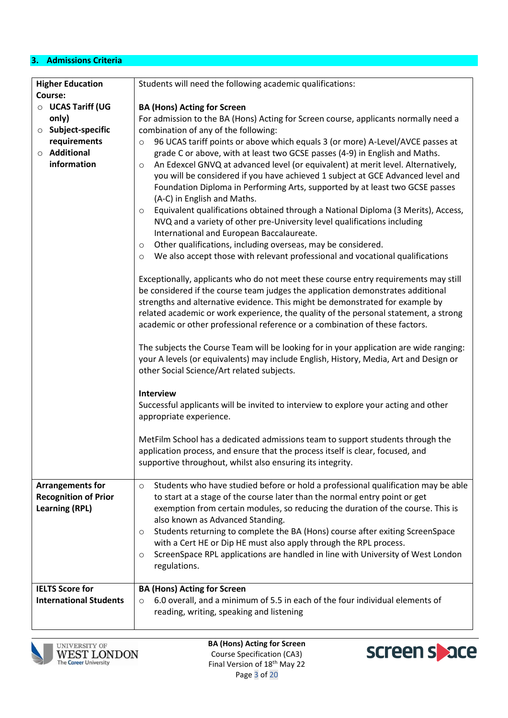## **3. Admissions Criteria**

| <b>Higher Education</b>                                                         | Students will need the following academic qualifications:                                                                                                                                                                                                                                                                                                                                                                                                                                                                                                                        |
|---------------------------------------------------------------------------------|----------------------------------------------------------------------------------------------------------------------------------------------------------------------------------------------------------------------------------------------------------------------------------------------------------------------------------------------------------------------------------------------------------------------------------------------------------------------------------------------------------------------------------------------------------------------------------|
| Course:                                                                         |                                                                                                                                                                                                                                                                                                                                                                                                                                                                                                                                                                                  |
| O UCAS Tariff (UG                                                               | <b>BA (Hons) Acting for Screen</b>                                                                                                                                                                                                                                                                                                                                                                                                                                                                                                                                               |
| only)                                                                           | For admission to the BA (Hons) Acting for Screen course, applicants normally need a                                                                                                                                                                                                                                                                                                                                                                                                                                                                                              |
| <b>O</b> Subject-specific<br>requirements                                       | combination of any of the following:<br>96 UCAS tariff points or above which equals 3 (or more) A-Level/AVCE passes at                                                                                                                                                                                                                                                                                                                                                                                                                                                           |
| ○ Additional                                                                    | $\circ$<br>grade C or above, with at least two GCSE passes (4-9) in English and Maths.                                                                                                                                                                                                                                                                                                                                                                                                                                                                                           |
| information                                                                     | An Edexcel GNVQ at advanced level (or equivalent) at merit level. Alternatively,<br>$\circ$<br>you will be considered if you have achieved 1 subject at GCE Advanced level and<br>Foundation Diploma in Performing Arts, supported by at least two GCSE passes<br>(A-C) in English and Maths.<br>Equivalent qualifications obtained through a National Diploma (3 Merits), Access,<br>$\circ$<br>NVQ and a variety of other pre-University level qualifications including                                                                                                        |
|                                                                                 | International and European Baccalaureate.                                                                                                                                                                                                                                                                                                                                                                                                                                                                                                                                        |
|                                                                                 | Other qualifications, including overseas, may be considered.<br>$\circ$                                                                                                                                                                                                                                                                                                                                                                                                                                                                                                          |
|                                                                                 | We also accept those with relevant professional and vocational qualifications<br>O                                                                                                                                                                                                                                                                                                                                                                                                                                                                                               |
|                                                                                 | Exceptionally, applicants who do not meet these course entry requirements may still<br>be considered if the course team judges the application demonstrates additional<br>strengths and alternative evidence. This might be demonstrated for example by<br>related academic or work experience, the quality of the personal statement, a strong<br>academic or other professional reference or a combination of these factors.                                                                                                                                                   |
|                                                                                 | The subjects the Course Team will be looking for in your application are wide ranging:<br>your A levels (or equivalents) may include English, History, Media, Art and Design or<br>other Social Science/Art related subjects.                                                                                                                                                                                                                                                                                                                                                    |
|                                                                                 | <b>Interview</b>                                                                                                                                                                                                                                                                                                                                                                                                                                                                                                                                                                 |
|                                                                                 | Successful applicants will be invited to interview to explore your acting and other<br>appropriate experience.                                                                                                                                                                                                                                                                                                                                                                                                                                                                   |
|                                                                                 | MetFilm School has a dedicated admissions team to support students through the<br>application process, and ensure that the process itself is clear, focused, and<br>supportive throughout, whilst also ensuring its integrity.                                                                                                                                                                                                                                                                                                                                                   |
| <b>Arrangements for</b><br><b>Recognition of Prior</b><br><b>Learning (RPL)</b> | Students who have studied before or hold a professional qualification may be able<br>$\circ$<br>to start at a stage of the course later than the normal entry point or get<br>exemption from certain modules, so reducing the duration of the course. This is<br>also known as Advanced Standing.<br>Students returning to complete the BA (Hons) course after exiting ScreenSpace<br>$\circ$<br>with a Cert HE or Dip HE must also apply through the RPL process.<br>ScreenSpace RPL applications are handled in line with University of West London<br>$\circ$<br>regulations. |
| <b>IELTS Score for</b>                                                          | <b>BA (Hons) Acting for Screen</b>                                                                                                                                                                                                                                                                                                                                                                                                                                                                                                                                               |
| <b>International Students</b>                                                   | 6.0 overall, and a minimum of 5.5 in each of the four individual elements of<br>$\circ$<br>reading, writing, speaking and listening                                                                                                                                                                                                                                                                                                                                                                                                                                              |
|                                                                                 |                                                                                                                                                                                                                                                                                                                                                                                                                                                                                                                                                                                  |



**BA (Hons) Acting for Screen** Course Specification (CA3) Final Version of 18<sup>th</sup> May 22 Page 3 of 20

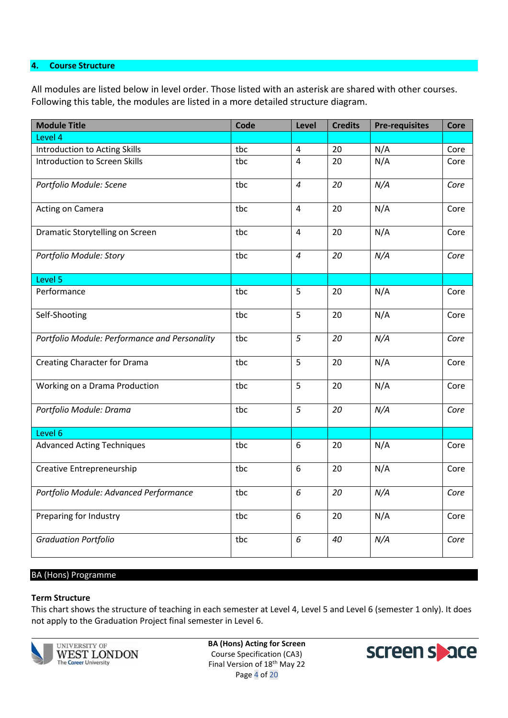#### **4. Course Structure**

All modules are listed below in level order. Those listed with an asterisk are shared with other courses. Following this table, the modules are listed in a more detailed structure diagram.

| <b>Module Title</b>                           | Code | Level          | <b>Credits</b> | <b>Pre-requisites</b> | Core |
|-----------------------------------------------|------|----------------|----------------|-----------------------|------|
| Level 4                                       |      |                |                |                       |      |
| <b>Introduction to Acting Skills</b>          | tbc  | 4              | 20             | N/A                   | Core |
| <b>Introduction to Screen Skills</b>          | tbc  | $\overline{4}$ | 20             | N/A                   | Core |
| Portfolio Module: Scene                       | tbc  | $\overline{4}$ | 20             | N/A                   | Core |
| Acting on Camera                              | tbc  | 4              | 20             | N/A                   | Core |
| Dramatic Storytelling on Screen               | tbc  | 4              | 20             | N/A                   | Core |
| Portfolio Module: Story                       | tbc  | $\overline{4}$ | 20             | N/A                   | Core |
| Level 5                                       |      |                |                |                       |      |
| Performance                                   | tbc  | 5              | 20             | N/A                   | Core |
| Self-Shooting                                 | tbc  | 5              | 20             | N/A                   | Core |
| Portfolio Module: Performance and Personality | tbc  | 5              | 20             | N/A                   | Core |
| <b>Creating Character for Drama</b>           | tbc  | 5              | 20             | N/A                   | Core |
| Working on a Drama Production                 | tbc  | 5              | 20             | N/A                   | Core |
| Portfolio Module: Drama                       | tbc  | 5              | 20             | N/A                   | Core |
| Level 6                                       |      |                |                |                       |      |
| <b>Advanced Acting Techniques</b>             | tbc  | 6              | 20             | N/A                   | Core |
| Creative Entrepreneurship                     | tbc  | 6              | 20             | N/A                   | Core |
| Portfolio Module: Advanced Performance        | tbc  | 6              | 20             | N/A                   | Core |
| Preparing for Industry                        | tbc  | 6              | 20             | N/A                   | Core |
| <b>Graduation Portfolio</b>                   | tbc  | 6              | 40             | N/A                   | Core |

#### BA (Hons) Programme

#### **Term Structure**

This chart shows the structure of teaching in each semester at Level 4, Level 5 and Level 6 (semester 1 only). It does not apply to the Graduation Project final semester in Level 6.



**BA (Hons) Acting for Screen** Course Specification (CA3) Final Version of 18<sup>th</sup> May 22 Page 4 of 20

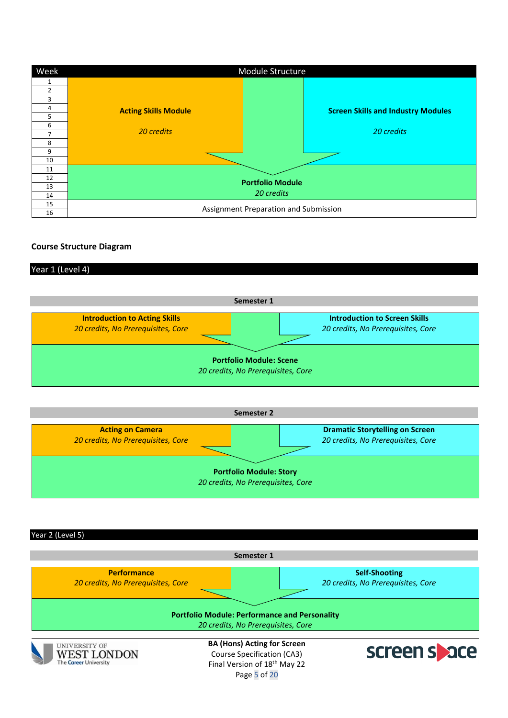| Week           |                             | Module Structure                          |
|----------------|-----------------------------|-------------------------------------------|
|                |                             |                                           |
| $\mathfrak{p}$ |                             |                                           |
| 3              |                             |                                           |
|                | <b>Acting Skills Module</b> | <b>Screen Skills and Industry Modules</b> |
|                |                             |                                           |
| 6              |                             |                                           |
|                | 20 credits                  | 20 credits                                |
| 8              |                             |                                           |
| 9              |                             |                                           |
| 10             |                             |                                           |
| 11             |                             |                                           |
| 12             |                             | <b>Portfolio Module</b>                   |
| 13             |                             |                                           |
| 14             |                             | 20 credits                                |
| 15             |                             | Assignment Preparation and Submission     |
| 16             |                             |                                           |

#### **Course Structure Diagram**

#### Year 1 (Level 4)



| Semester 2                                                    |                                                                              |  |  |  |  |  |
|---------------------------------------------------------------|------------------------------------------------------------------------------|--|--|--|--|--|
| <b>Acting on Camera</b><br>20 credits, No Prerequisites, Core | <b>Dramatic Storytelling on Screen</b><br>20 credits, No Prerequisites, Core |  |  |  |  |  |
|                                                               | <b>Portfolio Module: Story</b><br>20 credits, No Prerequisites, Core         |  |  |  |  |  |

Year 2 (Level 5)



Page 5 of 20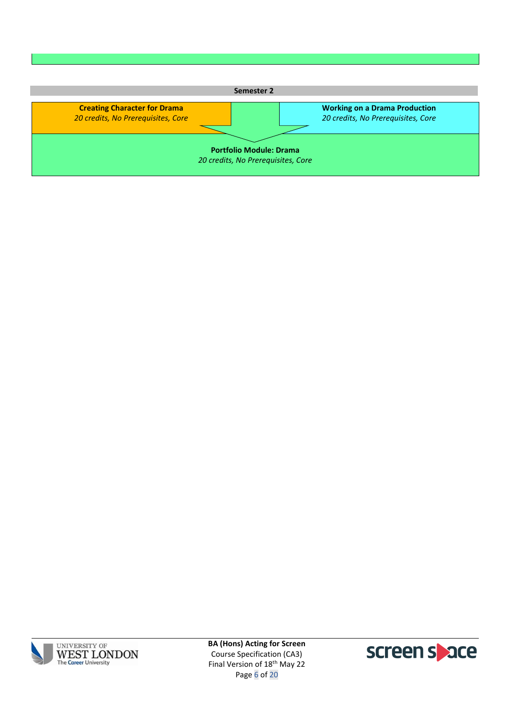| Semester 2                                                                |                                                                            |  |  |  |  |  |
|---------------------------------------------------------------------------|----------------------------------------------------------------------------|--|--|--|--|--|
| <b>Creating Character for Drama</b><br>20 credits, No Prerequisites, Core | <b>Working on a Drama Production</b><br>20 credits, No Prerequisites, Core |  |  |  |  |  |
|                                                                           |                                                                            |  |  |  |  |  |
| <b>Portfolio Module: Drama</b><br>20 credits, No Prerequisites, Core      |                                                                            |  |  |  |  |  |
|                                                                           |                                                                            |  |  |  |  |  |



**BA (Hons) Acting for Screen** Course Specification (CA3) Final Version of 18<sup>th</sup> May 22 Page 6 of 20

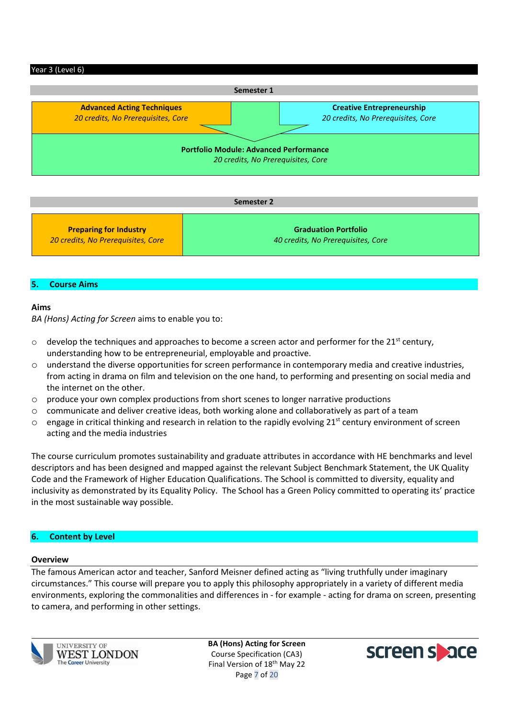#### Year 3 (Level 6)



| Semester 2                         |                                    |  |  |  |  |
|------------------------------------|------------------------------------|--|--|--|--|
| <b>Preparing for Industry</b>      | <b>Graduation Portfolio</b>        |  |  |  |  |
| 20 credits, No Prerequisites, Core | 40 credits, No Prerequisites, Core |  |  |  |  |

#### **5. Course Aims**

#### **Aims**

*BA (Hons) Acting for Screen* aims to enable you to:

- $\circ$  develop the techniques and approaches to become a screen actor and performer for the 21<sup>st</sup> century, understanding how to be entrepreneurial, employable and proactive.
- o understand the diverse opportunities for screen performance in contemporary media and creative industries, from acting in drama on film and television on the one hand, to performing and presenting on social media and the internet on the other.
- $\circ$  produce your own complex productions from short scenes to longer narrative productions
- o communicate and deliver creative ideas, both working alone and collaboratively as part of a team
- $\circ$  engage in critical thinking and research in relation to the rapidly evolving 21<sup>st</sup> century environment of screen acting and the media industries

The course curriculum promotes sustainability and graduate attributes in accordance with HE benchmarks and level descriptors and has been designed and mapped against the relevant Subject Benchmark Statement, the UK Quality Code and the Framework of Higher Education Qualifications. The School is committed to diversity, equality and inclusivity as demonstrated by its Equality Policy. The School has a Green Policy committed to operating its' practice in the most sustainable way possible.

#### **6. Content by Level**

#### **Overview**

The famous American actor and teacher, Sanford Meisner defined acting as "living truthfully under imaginary circumstances." This course will prepare you to apply this philosophy appropriately in a variety of different media environments, exploring the commonalities and differences in - for example - acting for drama on screen, presenting to camera, and performing in other settings.



**BA (Hons) Acting for Screen** Course Specification (CA3) Final Version of 18th May 22 Page 7 of 20

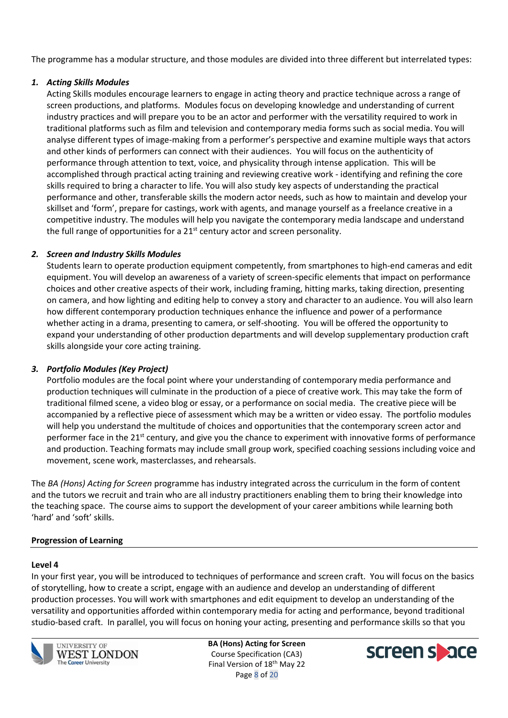The programme has a modular structure, and those modules are divided into three different but interrelated types:

## *1. Acting Skills Modules*

Acting Skills modules encourage learners to engage in acting theory and practice technique across a range of screen productions, and platforms. Modules focus on developing knowledge and understanding of current industry practices and will prepare you to be an actor and performer with the versatility required to work in traditional platforms such as film and television and contemporary media forms such as social media. You will analyse different types of image-making from a performer's perspective and examine multiple ways that actors and other kinds of performers can connect with their audiences. You will focus on the authenticity of performance through attention to text, voice, and physicality through intense application. This will be accomplished through practical acting training and reviewing creative work - identifying and refining the core skills required to bring a character to life. You will also study key aspects of understanding the practical performance and other, transferable skills the modern actor needs, such as how to maintain and develop your skillset and 'form', prepare for castings, work with agents, and manage yourself as a freelance creative in a competitive industry. The modules will help you navigate the contemporary media landscape and understand the full range of opportunities for a  $21<sup>st</sup>$  century actor and screen personality.

## *2. Screen and Industry Skills Modules*

Students learn to operate production equipment competently, from smartphones to high-end cameras and edit equipment. You will develop an awareness of a variety of screen-specific elements that impact on performance choices and other creative aspects of their work, including framing, hitting marks, taking direction, presenting on camera, and how lighting and editing help to convey a story and character to an audience. You will also learn how different contemporary production techniques enhance the influence and power of a performance whether acting in a drama, presenting to camera, or self-shooting. You will be offered the opportunity to expand your understanding of other production departments and will develop supplementary production craft skills alongside your core acting training.

## *3. Portfolio Modules (Key Project)*

Portfolio modules are the focal point where your understanding of contemporary media performance and production techniques will culminate in the production of a piece of creative work. This may take the form of traditional filmed scene, a video blog or essay, or a performance on social media. The creative piece will be accompanied by a reflective piece of assessment which may be a written or video essay. The portfolio modules will help you understand the multitude of choices and opportunities that the contemporary screen actor and performer face in the  $21^{st}$  century, and give you the chance to experiment with innovative forms of performance and production. Teaching formats may include small group work, specified coaching sessions including voice and movement, scene work, masterclasses, and rehearsals.

The *BA (Hons) Acting for Screen* programme has industry integrated across the curriculum in the form of content and the tutors we recruit and train who are all industry practitioners enabling them to bring their knowledge into the teaching space. The course aims to support the development of your career ambitions while learning both 'hard' and 'soft' skills.

## **Progression of Learning**

#### **Level 4**

In your first year, you will be introduced to techniques of performance and screen craft. You will focus on the basics of storytelling, how to create a script, engage with an audience and develop an understanding of different production processes. You will work with smartphones and edit equipment to develop an understanding of the versatility and opportunities afforded within contemporary media for acting and performance, beyond traditional studio-based craft. In parallel, you will focus on honing your acting, presenting and performance skills so that you



**UNIVERSITY OF** WEST LONDON **The Career University** 

**BA (Hons) Acting for Screen** Course Specification (CA3) Final Version of 18th May 22 Page 8 of 20

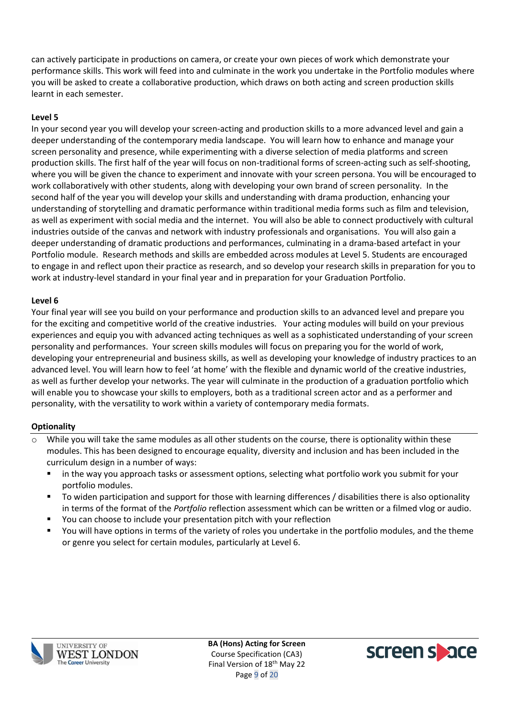can actively participate in productions on camera, or create your own pieces of work which demonstrate your performance skills. This work will feed into and culminate in the work you undertake in the Portfolio modules where you will be asked to create a collaborative production, which draws on both acting and screen production skills learnt in each semester.

## **Level 5**

In your second year you will develop your screen-acting and production skills to a more advanced level and gain a deeper understanding of the contemporary media landscape. You will learn how to enhance and manage your screen personality and presence, while experimenting with a diverse selection of media platforms and screen production skills. The first half of the year will focus on non-traditional forms of screen-acting such as self-shooting, where you will be given the chance to experiment and innovate with your screen persona. You will be encouraged to work collaboratively with other students, along with developing your own brand of screen personality. In the second half of the year you will develop your skills and understanding with drama production, enhancing your understanding of storytelling and dramatic performance within traditional media forms such as film and television, as well as experiment with social media and the internet. You will also be able to connect productively with cultural industries outside of the canvas and network with industry professionals and organisations. You will also gain a deeper understanding of dramatic productions and performances, culminating in a drama-based artefact in your Portfolio module. Research methods and skills are embedded across modules at Level 5. Students are encouraged to engage in and reflect upon their practice as research, and so develop your research skills in preparation for you to work at industry-level standard in your final year and in preparation for your Graduation Portfolio.

#### **Level 6**

Your final year will see you build on your performance and production skills to an advanced level and prepare you for the exciting and competitive world of the creative industries. Your acting modules will build on your previous experiences and equip you with advanced acting techniques as well as a sophisticated understanding of your screen personality and performances. Your screen skills modules will focus on preparing you for the world of work, developing your entrepreneurial and business skills, as well as developing your knowledge of industry practices to an advanced level. You will learn how to feel 'at home' with the flexible and dynamic world of the creative industries, as well as further develop your networks. The year will culminate in the production of a graduation portfolio which will enable you to showcase your skills to employers, both as a traditional screen actor and as a performer and personality, with the versatility to work within a variety of contemporary media formats.

#### **Optionality**

- While you will take the same modules as all other students on the course, there is optionality within these modules. This has been designed to encourage equality, diversity and inclusion and has been included in the curriculum design in a number of ways:
	- in the way you approach tasks or assessment options, selecting what portfolio work you submit for your portfolio modules.
	- To widen participation and support for those with learning differences / disabilities there is also optionality in terms of the format of the *Portfolio* reflection assessment which can be written or a filmed vlog or audio.
	- You can choose to include your presentation pitch with your reflection
	- You will have options in terms of the variety of roles you undertake in the portfolio modules, and the theme or genre you select for certain modules, particularly at Level 6.



**BA (Hons) Acting for Screen** Course Specification (CA3) Final Version of 18<sup>th</sup> May 22 Page 9 of 20

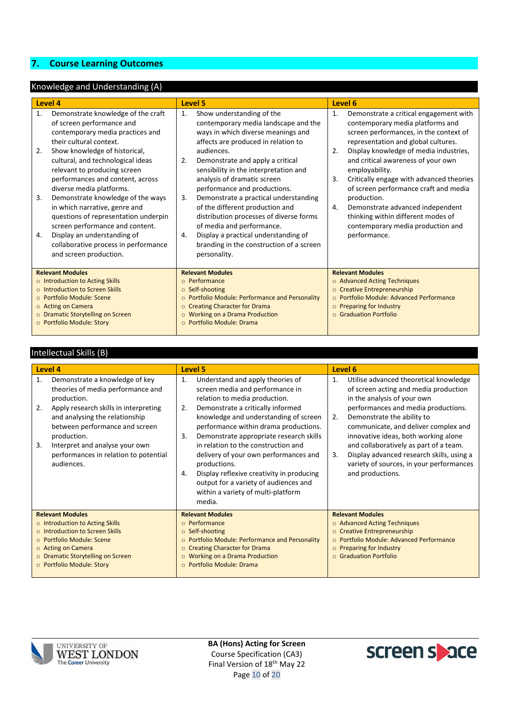## **7. Course Learning Outcomes**

## Knowledge and Understanding (A)

|                                   | Level 4                                                                                                                                                                                                                                                                                                                                                                                                                                                                                                                                                |                                                 |                                                                                                                                                                                                                                                                                                                                                                                                                                                                                                                                                                  |                                          |                                                                                                                                                                                                                                                                                                                                                                                                                                                                                                  |  |
|-----------------------------------|--------------------------------------------------------------------------------------------------------------------------------------------------------------------------------------------------------------------------------------------------------------------------------------------------------------------------------------------------------------------------------------------------------------------------------------------------------------------------------------------------------------------------------------------------------|-------------------------------------------------|------------------------------------------------------------------------------------------------------------------------------------------------------------------------------------------------------------------------------------------------------------------------------------------------------------------------------------------------------------------------------------------------------------------------------------------------------------------------------------------------------------------------------------------------------------------|------------------------------------------|--------------------------------------------------------------------------------------------------------------------------------------------------------------------------------------------------------------------------------------------------------------------------------------------------------------------------------------------------------------------------------------------------------------------------------------------------------------------------------------------------|--|
|                                   |                                                                                                                                                                                                                                                                                                                                                                                                                                                                                                                                                        | Level 5                                         |                                                                                                                                                                                                                                                                                                                                                                                                                                                                                                                                                                  |                                          | Level 6                                                                                                                                                                                                                                                                                                                                                                                                                                                                                          |  |
| 1.<br>2.<br>3.<br>4.              | Demonstrate knowledge of the craft<br>of screen performance and<br>contemporary media practices and<br>their cultural context.<br>Show knowledge of historical,<br>cultural, and technological ideas<br>relevant to producing screen<br>performances and content, across<br>diverse media platforms.<br>Demonstrate knowledge of the ways<br>in which narrative, genre and<br>questions of representation underpin<br>screen performance and content.<br>Display an understanding of<br>collaborative process in performance<br>and screen production. | 1.<br>2.<br>3.<br>4.                            | Show understanding of the<br>contemporary media landscape and the<br>ways in which diverse meanings and<br>affects are produced in relation to<br>audiences.<br>Demonstrate and apply a critical<br>sensibility in the interpretation and<br>analysis of dramatic screen<br>performance and productions.<br>Demonstrate a practical understanding<br>of the different production and<br>distribution processes of diverse forms<br>of media and performance.<br>Display a practical understanding of<br>branding in the construction of a screen<br>personality. | 1.<br>2.<br>3.<br>4.                     | Demonstrate a critical engagement with<br>contemporary media platforms and<br>screen performances, in the context of<br>representation and global cultures.<br>Display knowledge of media industries,<br>and critical awareness of your own<br>employability.<br>Critically engage with advanced theories<br>of screen performance craft and media<br>production.<br>Demonstrate advanced independent<br>thinking within different modes of<br>contemporary media production and<br>performance. |  |
|                                   | <b>Relevant Modules</b>                                                                                                                                                                                                                                                                                                                                                                                                                                                                                                                                |                                                 | <b>Relevant Modules</b>                                                                                                                                                                                                                                                                                                                                                                                                                                                                                                                                          |                                          | <b>Relevant Modules</b>                                                                                                                                                                                                                                                                                                                                                                                                                                                                          |  |
|                                   | o Introduction to Acting Skills                                                                                                                                                                                                                                                                                                                                                                                                                                                                                                                        | $\circ$                                         | Performance                                                                                                                                                                                                                                                                                                                                                                                                                                                                                                                                                      |                                          | ○ Advanced Acting Techniques                                                                                                                                                                                                                                                                                                                                                                                                                                                                     |  |
|                                   | o Introduction to Screen Skills                                                                                                                                                                                                                                                                                                                                                                                                                                                                                                                        | $\circ$                                         | Self-shooting                                                                                                                                                                                                                                                                                                                                                                                                                                                                                                                                                    |                                          | o Creative Entrepreneurship                                                                                                                                                                                                                                                                                                                                                                                                                                                                      |  |
| ○ Portfolio Module: Scene         |                                                                                                                                                                                                                                                                                                                                                                                                                                                                                                                                                        | $\circ$                                         | Portfolio Module: Performance and Personality                                                                                                                                                                                                                                                                                                                                                                                                                                                                                                                    | o Portfolio Module: Advanced Performance |                                                                                                                                                                                                                                                                                                                                                                                                                                                                                                  |  |
|                                   | o Acting on Camera                                                                                                                                                                                                                                                                                                                                                                                                                                                                                                                                     | $\circ$                                         | <b>Creating Character for Drama</b>                                                                                                                                                                                                                                                                                                                                                                                                                                                                                                                              | o Preparing for Industry                 |                                                                                                                                                                                                                                                                                                                                                                                                                                                                                                  |  |
| o Dramatic Storytelling on Screen |                                                                                                                                                                                                                                                                                                                                                                                                                                                                                                                                                        | <b>Working on a Drama Production</b><br>$\circ$ |                                                                                                                                                                                                                                                                                                                                                                                                                                                                                                                                                                  | ○ Graduation Portfolio                   |                                                                                                                                                                                                                                                                                                                                                                                                                                                                                                  |  |
| O Portfolio Module: Story         |                                                                                                                                                                                                                                                                                                                                                                                                                                                                                                                                                        |                                                 | $\circ$ Portfolio Module: Drama                                                                                                                                                                                                                                                                                                                                                                                                                                                                                                                                  |                                          |                                                                                                                                                                                                                                                                                                                                                                                                                                                                                                  |  |

#### Intellectual Skills (B)

|                                 | Level 4                                                                                                                  |                                                 | Level 5                                                                                                                                                                                                                            |                              | Level 6                                                                                                                                             |  |  |
|---------------------------------|--------------------------------------------------------------------------------------------------------------------------|-------------------------------------------------|------------------------------------------------------------------------------------------------------------------------------------------------------------------------------------------------------------------------------------|------------------------------|-----------------------------------------------------------------------------------------------------------------------------------------------------|--|--|
| 1.                              | Demonstrate a knowledge of key<br>theories of media performance and<br>production.                                       | 1.                                              | Understand and apply theories of<br>screen media and performance in<br>relation to media production.                                                                                                                               | 1.                           | Utilise advanced theoretical knowledge<br>of screen acting and media production<br>in the analysis of your own                                      |  |  |
| 2.                              | Apply research skills in interpreting<br>and analysing the relationship<br>between performance and screen<br>production. | 2.<br>3.                                        | Demonstrate a critically informed<br>knowledge and understanding of screen<br>performance within drama productions.<br>Demonstrate appropriate research skills                                                                     | 2.                           | performances and media productions.<br>Demonstrate the ability to<br>communicate, and deliver complex and<br>innovative ideas, both working alone   |  |  |
| 3.                              | Interpret and analyse your own<br>performances in relation to potential<br>audiences.                                    | 4.                                              | in relation to the construction and<br>delivery of your own performances and<br>productions.<br>Display reflexive creativity in producing<br>output for a variety of audiences and<br>within a variety of multi-platform<br>media. | 3.                           | and collaboratively as part of a team.<br>Display advanced research skills, using a<br>variety of sources, in your performances<br>and productions. |  |  |
|                                 | <b>Relevant Modules</b>                                                                                                  |                                                 | <b>Relevant Modules</b>                                                                                                                                                                                                            |                              | <b>Relevant Modules</b>                                                                                                                             |  |  |
| o Introduction to Acting Skills |                                                                                                                          | $\circ$ Performance                             |                                                                                                                                                                                                                                    | ○ Advanced Acting Techniques |                                                                                                                                                     |  |  |
| o Introduction to Screen Skills |                                                                                                                          | ○ Self-shooting                                 |                                                                                                                                                                                                                                    | $\Omega$                     | <b>Creative Entrepreneurship</b>                                                                                                                    |  |  |
|                                 | o Portfolio Module: Scene                                                                                                | ○ Portfolio Module: Performance and Personality |                                                                                                                                                                                                                                    |                              | o Portfolio Module: Advanced Performance                                                                                                            |  |  |
|                                 | o Acting on Camera                                                                                                       |                                                 | o Creating Character for Drama                                                                                                                                                                                                     |                              | $\circ$ Preparing for Industry                                                                                                                      |  |  |
|                                 | o Dramatic Storytelling on Screen                                                                                        |                                                 | O Working on a Drama Production                                                                                                                                                                                                    |                              | $\circ$ Graduation Portfolio                                                                                                                        |  |  |
|                                 | O Portfolio Module: Story                                                                                                |                                                 | o Portfolio Module: Drama                                                                                                                                                                                                          |                              |                                                                                                                                                     |  |  |



**BA (Hons) Acting for Screen** Course Specification (CA3) Final Version of 18<sup>th</sup> May 22 Page 10 of 20

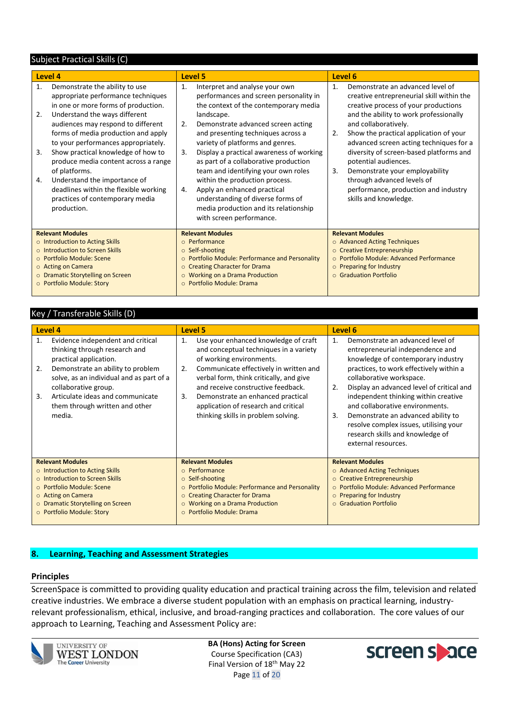#### Subject Practical Skills (C)

| Level 4                          |                                                                                                                                                                                                                                                                                                                                                                                                                                                                                            |                                            | Level 5                                                                                                                                                                                                                                                                                                                                                                                                                                                                                                                    |                            | Level 6                                                                                                                                                                                                                                                                                                                                                                                                                                                                          |  |  |
|----------------------------------|--------------------------------------------------------------------------------------------------------------------------------------------------------------------------------------------------------------------------------------------------------------------------------------------------------------------------------------------------------------------------------------------------------------------------------------------------------------------------------------------|--------------------------------------------|----------------------------------------------------------------------------------------------------------------------------------------------------------------------------------------------------------------------------------------------------------------------------------------------------------------------------------------------------------------------------------------------------------------------------------------------------------------------------------------------------------------------------|----------------------------|----------------------------------------------------------------------------------------------------------------------------------------------------------------------------------------------------------------------------------------------------------------------------------------------------------------------------------------------------------------------------------------------------------------------------------------------------------------------------------|--|--|
| $\mathbf{1}$ .<br>2.<br>3.<br>4. | Demonstrate the ability to use<br>appropriate performance techniques<br>in one or more forms of production.<br>Understand the ways different<br>audiences may respond to different<br>forms of media production and apply<br>to your performances appropriately.<br>Show practical knowledge of how to<br>produce media content across a range<br>of platforms.<br>Understand the importance of<br>deadlines within the flexible working<br>practices of contemporary media<br>production. | 1.<br>2.<br>3.<br>4.                       | Interpret and analyse your own<br>performances and screen personality in<br>the context of the contemporary media<br>landscape.<br>Demonstrate advanced screen acting<br>and presenting techniques across a<br>variety of platforms and genres.<br>Display a practical awareness of working<br>as part of a collaborative production<br>team and identifying your own roles<br>within the production process.<br>Apply an enhanced practical<br>understanding of diverse forms of<br>media production and its relationship | $\mathbf{1}$ .<br>2.<br>3. | Demonstrate an advanced level of<br>creative entrepreneurial skill within the<br>creative process of your productions<br>and the ability to work professionally<br>and collaboratively.<br>Show the practical application of your<br>advanced screen acting techniques for a<br>diversity of screen-based platforms and<br>potential audiences.<br>Demonstrate your employability<br>through advanced levels of<br>performance, production and industry<br>skills and knowledge. |  |  |
|                                  |                                                                                                                                                                                                                                                                                                                                                                                                                                                                                            |                                            | with screen performance.                                                                                                                                                                                                                                                                                                                                                                                                                                                                                                   |                            |                                                                                                                                                                                                                                                                                                                                                                                                                                                                                  |  |  |
|                                  | <b>Relevant Modules</b><br>o Introduction to Acting Skills<br>o Introduction to Screen Skills<br>○ Portfolio Module: Scene<br>o Acting on Camera<br>o Dramatic Storytelling on Screen<br>O Portfolio Module: Story                                                                                                                                                                                                                                                                         | $\circ$<br>$\Omega$<br>$\circ$<br>$\Omega$ | <b>Relevant Modules</b><br>$\circ$ Performance<br>Self-shooting<br>Portfolio Module: Performance and Personality<br><b>Creating Character for Drama</b><br><b>Working on a Drama Production</b><br>$\circ$ Portfolio Module: Drama                                                                                                                                                                                                                                                                                         |                            | <b>Relevant Modules</b><br>o Advanced Acting Techniques<br>o Creative Entrepreneurship<br>○ Portfolio Module: Advanced Performance<br>o Preparing for Industry<br>$\circ$ Graduation Portfolio                                                                                                                                                                                                                                                                                   |  |  |

#### Key / Transferable Skills (D)

| <b>Level 4</b>                                                                                                                                                                                                                                                                                          | Level 5                                                                                                                                                                                                                                                                                                                                                                     | Level 6                                                                                                                                                                                                                                                                                                                                                                                                                                                                            |
|---------------------------------------------------------------------------------------------------------------------------------------------------------------------------------------------------------------------------------------------------------------------------------------------------------|-----------------------------------------------------------------------------------------------------------------------------------------------------------------------------------------------------------------------------------------------------------------------------------------------------------------------------------------------------------------------------|------------------------------------------------------------------------------------------------------------------------------------------------------------------------------------------------------------------------------------------------------------------------------------------------------------------------------------------------------------------------------------------------------------------------------------------------------------------------------------|
| Evidence independent and critical<br>1.<br>thinking through research and<br>practical application.<br>2.<br>Demonstrate an ability to problem<br>solve, as an individual and as part of a<br>collaborative group.<br>Articulate ideas and communicate<br>3.<br>them through written and other<br>media. | Use your enhanced knowledge of craft<br>1.<br>and conceptual techniques in a variety<br>of working environments.<br>Communicate effectively in written and<br>2.<br>verbal form, think critically, and give<br>and receive constructive feedback.<br>Demonstrate an enhanced practical<br>3.<br>application of research and critical<br>thinking skills in problem solving. | Demonstrate an advanced level of<br>$\mathbf{1}$ .<br>entrepreneurial independence and<br>knowledge of contemporary industry<br>practices, to work effectively within a<br>collaborative workspace.<br>Display an advanced level of critical and<br>2.<br>independent thinking within creative<br>and collaborative environments.<br>3.<br>Demonstrate an advanced ability to<br>resolve complex issues, utilising your<br>research skills and knowledge of<br>external resources. |
| <b>Relevant Modules</b>                                                                                                                                                                                                                                                                                 | <b>Relevant Modules</b>                                                                                                                                                                                                                                                                                                                                                     | <b>Relevant Modules</b>                                                                                                                                                                                                                                                                                                                                                                                                                                                            |
| o Introduction to Acting Skills                                                                                                                                                                                                                                                                         | $\circ$ Performance                                                                                                                                                                                                                                                                                                                                                         | ○ Advanced Acting Techniques                                                                                                                                                                                                                                                                                                                                                                                                                                                       |
| o Introduction to Screen Skills                                                                                                                                                                                                                                                                         | $\circ$ Self-shooting                                                                                                                                                                                                                                                                                                                                                       | o Creative Entrepreneurship                                                                                                                                                                                                                                                                                                                                                                                                                                                        |
| ○ Portfolio Module: Scene                                                                                                                                                                                                                                                                               | ○ Portfolio Module: Performance and Personality                                                                                                                                                                                                                                                                                                                             | ○ Portfolio Module: Advanced Performance                                                                                                                                                                                                                                                                                                                                                                                                                                           |
| o Acting on Camera                                                                                                                                                                                                                                                                                      | <b>Creating Character for Drama</b><br>$\circ$                                                                                                                                                                                                                                                                                                                              | $\circ$ Preparing for Industry                                                                                                                                                                                                                                                                                                                                                                                                                                                     |
| o Dramatic Storytelling on Screen                                                                                                                                                                                                                                                                       | <b>Working on a Drama Production</b><br>$\circ$                                                                                                                                                                                                                                                                                                                             | ○ Graduation Portfolio                                                                                                                                                                                                                                                                                                                                                                                                                                                             |
| ○ Portfolio Module: Story                                                                                                                                                                                                                                                                               | $\circ$ Portfolio Module: Drama                                                                                                                                                                                                                                                                                                                                             |                                                                                                                                                                                                                                                                                                                                                                                                                                                                                    |

#### **8. Learning, Teaching and Assessment Strategies**

#### **Principles**

ScreenSpace is committed to providing quality education and practical training across the film, television and related creative industries. We embrace a diverse student population with an emphasis on practical learning, industryrelevant professionalism, ethical, inclusive, and broad-ranging practices and collaboration. The core values of our approach to Learning, Teaching and Assessment Policy are:



**BA (Hons) Acting for Screen** Course Specification (CA3) Final Version of 18th May 22 Page 11 of 20

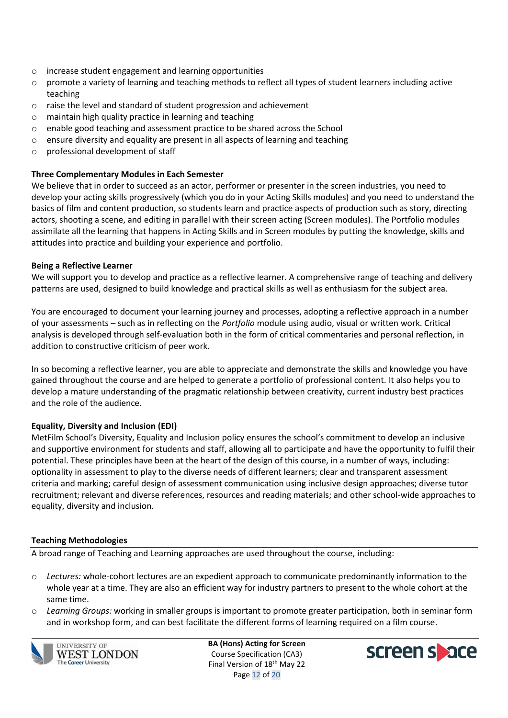- o increase student engagement and learning opportunities
- $\circ$  promote a variety of learning and teaching methods to reflect all types of student learners including active teaching
- o raise the level and standard of student progression and achievement
- o maintain high quality practice in learning and teaching
- o enable good teaching and assessment practice to be shared across the School
- o ensure diversity and equality are present in all aspects of learning and teaching
- o professional development of staff

## **Three Complementary Modules in Each Semester**

We believe that in order to succeed as an actor, performer or presenter in the screen industries, you need to develop your acting skills progressively (which you do in your Acting Skills modules) and you need to understand the basics of film and content production, so students learn and practice aspects of production such as story, directing actors, shooting a scene, and editing in parallel with their screen acting (Screen modules). The Portfolio modules assimilate all the learning that happens in Acting Skills and in Screen modules by putting the knowledge, skills and attitudes into practice and building your experience and portfolio.

#### **Being a Reflective Learner**

We will support you to develop and practice as a reflective learner. A comprehensive range of teaching and delivery patterns are used, designed to build knowledge and practical skills as well as enthusiasm for the subject area.

You are encouraged to document your learning journey and processes, adopting a reflective approach in a number of your assessments – such as in reflecting on the *Portfolio* module using audio, visual or written work. Critical analysis is developed through self-evaluation both in the form of critical commentaries and personal reflection, in addition to constructive criticism of peer work.

In so becoming a reflective learner, you are able to appreciate and demonstrate the skills and knowledge you have gained throughout the course and are helped to generate a portfolio of professional content. It also helps you to develop a mature understanding of the pragmatic relationship between creativity, current industry best practices and the role of the audience.

## **Equality, Diversity and Inclusion (EDI)**

MetFilm School's Diversity, Equality and Inclusion policy ensures the school's commitment to develop an inclusive and supportive environment for students and staff, allowing all to participate and have the opportunity to fulfil their potential. These principles have been at the heart of the design of this course, in a number of ways, including: optionality in assessment to play to the diverse needs of different learners; clear and transparent assessment criteria and marking; careful design of assessment communication using inclusive design approaches; diverse tutor recruitment; relevant and diverse references, resources and reading materials; and other school-wide approaches to equality, diversity and inclusion.

#### **Teaching Methodologies**

A broad range of Teaching and Learning approaches are used throughout the course, including:

- o *Lectures:* whole-cohort lectures are an expedient approach to communicate predominantly information to the whole year at a time. They are also an efficient way for industry partners to present to the whole cohort at the same time.
- o *Learning Groups:* working in smaller groups is important to promote greater participation, both in seminar form and in workshop form, and can best facilitate the different forms of learning required on a film course.



**UNIVERSITY OF WEST LONDON The Career University** 

**BA (Hons) Acting for Screen** Course Specification (CA3) Final Version of 18<sup>th</sup> May 22 Page 12 of 20

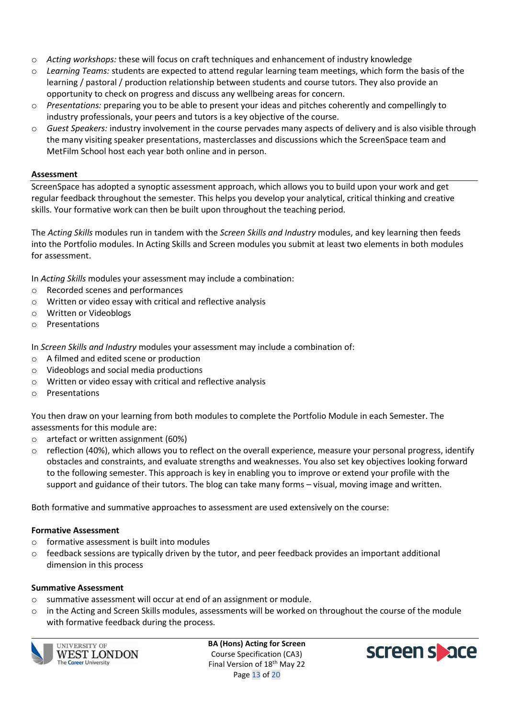- o *Acting workshops:* these will focus on craft techniques and enhancement of industry knowledge
- o *Learning Teams:* students are expected to attend regular learning team meetings, which form the basis of the learning / pastoral / production relationship between students and course tutors. They also provide an opportunity to check on progress and discuss any wellbeing areas for concern.
- o *Presentations:* preparing you to be able to present your ideas and pitches coherently and compellingly to industry professionals, your peers and tutors is a key objective of the course.
- o *Guest Speakers:* industry involvement in the course pervades many aspects of delivery and is also visible through the many visiting speaker presentations, masterclasses and discussions which the ScreenSpace team and MetFilm School host each year both online and in person.

## **Assessment**

ScreenSpace has adopted a synoptic assessment approach, which allows you to build upon your work and get regular feedback throughout the semester. This helps you develop your analytical, critical thinking and creative skills. Your formative work can then be built upon throughout the teaching period.

The *Acting Skills* modules run in tandem with the *Screen Skills and Industry* modules, and key learning then feeds into the Portfolio modules. In Acting Skills and Screen modules you submit at least two elements in both modules for assessment.

In *Acting Skills* modules your assessment may include a combination:

- o Recorded scenes and performances
- o Written or video essay with critical and reflective analysis
- o Written or Videoblogs
- o Presentations

In *Screen Skills and Industry* modules your assessment may include a combination of:

- o A filmed and edited scene or production
- o Videoblogs and social media productions
- o Written or video essay with critical and reflective analysis
- o Presentations

You then draw on your learning from both modules to complete the Portfolio Module in each Semester. The assessments for this module are:

- o artefact or written assignment (60%)
- $\circ$  reflection (40%), which allows you to reflect on the overall experience, measure your personal progress, identify obstacles and constraints, and evaluate strengths and weaknesses. You also set key objectives looking forward to the following semester. This approach is key in enabling you to improve or extend your profile with the support and guidance of their tutors. The blog can take many forms – visual, moving image and written.

Both formative and summative approaches to assessment are used extensively on the course:

#### **Formative Assessment**

- o formative assessment is built into modules
- o feedback sessions are typically driven by the tutor, and peer feedback provides an important additional dimension in this process

#### **Summative Assessment**

- o summative assessment will occur at end of an assignment or module.
- o in the Acting and Screen Skills modules, assessments will be worked on throughout the course of the module with formative feedback during the process.



**UNIVERSITY OF** WEST LONDON **The Career University** 

**BA (Hons) Acting for Screen** Course Specification (CA3) Final Version of 18<sup>th</sup> May 22 Page 13 of 20

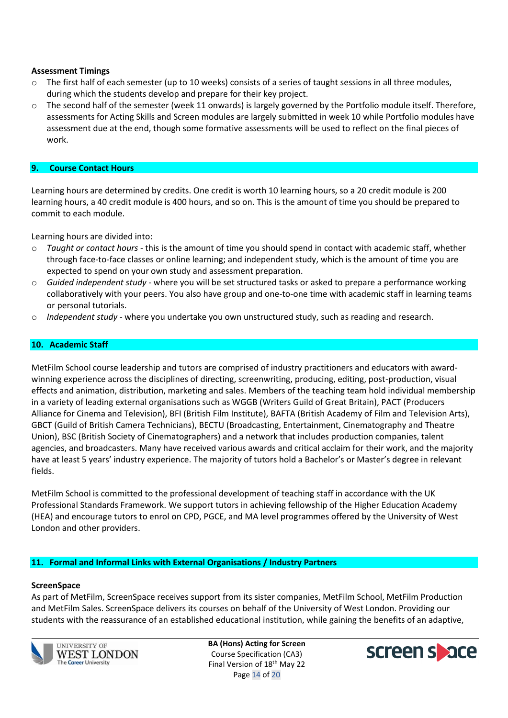#### **Assessment Timings**

- $\circ$  The first half of each semester (up to 10 weeks) consists of a series of taught sessions in all three modules, during which the students develop and prepare for their key project.
- o The second half of the semester (week 11 onwards) is largely governed by the Portfolio module itself. Therefore, assessments for Acting Skills and Screen modules are largely submitted in week 10 while Portfolio modules have assessment due at the end, though some formative assessments will be used to reflect on the final pieces of work.

#### **9. Course Contact Hours**

Learning hours are determined by credits. One credit is worth 10 learning hours, so a 20 credit module is 200 learning hours, a 40 credit module is 400 hours, and so on. This is the amount of time you should be prepared to commit to each module.

Learning hours are divided into:

- o *Taught or contact hours* this is the amount of time you should spend in contact with academic staff, whether through face-to-face classes or online learning; and independent study, which is the amount of time you are expected to spend on your own study and assessment preparation.
- o *Guided independent study* where you will be set structured tasks or asked to prepare a performance working collaboratively with your peers. You also have group and one-to-one time with academic staff in learning teams or personal tutorials.
- o *Independent study* where you undertake you own unstructured study, such as reading and research.

#### **10. Academic Staff**

MetFilm School course leadership and tutors are comprised of industry practitioners and educators with awardwinning experience across the disciplines of directing, screenwriting, producing, editing, post-production, visual effects and animation, distribution, marketing and sales. Members of the teaching team hold individual membership in a variety of leading external organisations such as WGGB (Writers Guild of Great Britain), PACT (Producers Alliance for Cinema and Television), BFI (British Film Institute), BAFTA (British Academy of Film and Television Arts), GBCT (Guild of British Camera Technicians), BECTU (Broadcasting, Entertainment, Cinematography and Theatre Union), BSC (British Society of Cinematographers) and a network that includes production companies, talent agencies, and broadcasters. Many have received various awards and critical acclaim for their work, and the majority have at least 5 years' industry experience. The majority of tutors hold a Bachelor's or Master's degree in relevant fields.

MetFilm School is committed to the professional development of teaching staff in accordance with the UK Professional Standards Framework. We support tutors in achieving fellowship of the Higher Education Academy (HEA) and encourage tutors to enrol on CPD, PGCE, and MA level programmes offered by the University of West London and other providers.

#### **11. Formal and Informal Links with External Organisations / Industry Partners**

#### **ScreenSpace**

As part of MetFilm, ScreenSpace receives support from its sister companies, MetFilm School, MetFilm Production and MetFilm Sales. ScreenSpace delivers its courses on behalf of the University of West London. Providing our students with the reassurance of an established educational institution, while gaining the benefits of an adaptive,



**UNIVERSITY OF** WEST LONDON **The Career University** 

**BA (Hons) Acting for Screen** Course Specification (CA3) Final Version of 18<sup>th</sup> May 22 Page 14 of 20

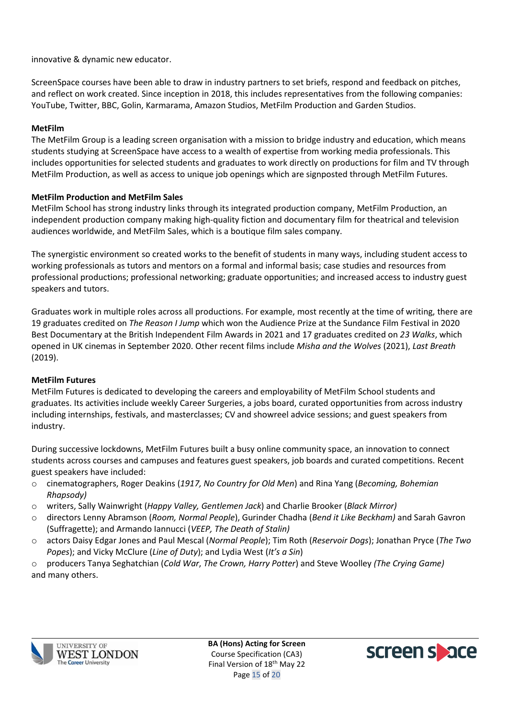innovative & dynamic new educator.

ScreenSpace courses have been able to draw in industry partners to set briefs, respond and feedback on pitches, and reflect on work created. Since inception in 2018, this includes representatives from the following companies: YouTube, Twitter, BBC, Golin, Karmarama, Amazon Studios, MetFilm Production and Garden Studios.

## **MetFilm**

The MetFilm Group is a leading screen organisation with a mission to bridge industry and education, which means students studying at ScreenSpace have access to a wealth of expertise from working media professionals. This includes opportunities for selected students and graduates to work directly on productions for film and TV through MetFilm Production, as well as access to unique job openings which are signposted through MetFilm Futures.

## **MetFilm Production and MetFilm Sales**

MetFilm School has strong industry links through its integrated production company, MetFilm Production, an independent production company making high-quality fiction and documentary film for theatrical and television audiences worldwide, and MetFilm Sales, which is a boutique film sales company.

The synergistic environment so created works to the benefit of students in many ways, including student access to working professionals as tutors and mentors on a formal and informal basis; case studies and resources from professional productions; professional networking; graduate opportunities; and increased access to industry guest speakers and tutors.

Graduates work in multiple roles across all productions. For example, most recently at the time of writing, there are 19 graduates credited on *The Reason I Jump* which won the Audience Prize at the Sundance Film Festival in 2020 Best Documentary at the British Independent Film Awards in 2021 and 17 graduates credited on *23 Walks*, which opened in UK cinemas in September 2020. Other recent films include *Misha and the Wolves* (2021), *Last Breath* (2019).

## **MetFilm Futures**

MetFilm Futures is dedicated to developing the careers and employability of MetFilm School students and graduates. Its activities include weekly Career Surgeries, a jobs board, curated opportunities from across industry including internships, festivals, and masterclasses; CV and showreel advice sessions; and guest speakers from industry.

During successive lockdowns, MetFilm Futures built a busy online community space, an innovation to connect students across courses and campuses and features guest speakers, job boards and curated competitions. Recent guest speakers have included:

- o cinematographers, Roger Deakins (*1917, No Country for Old Men*) and Rina Yang (*Becoming, Bohemian Rhapsody)*
- o writers, Sally Wainwright (*Happy Valley, Gentlemen Jack*) and Charlie Brooker (*Black Mirror)*
- o directors Lenny Abramson (*Room, Normal People*), Gurinder Chadha (*Bend it Like Beckham)* and Sarah Gavron (Suffragette); and Armando Iannucci (*VEEP, The Death of Stalin)*
- o actors Daisy Edgar Jones and Paul Mescal (*Normal People*); Tim Roth (*Reservoir Dogs*); Jonathan Pryce (*The Two Popes*); and Vicky McClure (*Line of Duty*); and Lydia West (*It's a Sin*)

o producers Tanya Seghatchian (*Cold War*, *The Crown, Harry Potter*) and Steve Woolley *(The Crying Game)* and many others.



**BA (Hons) Acting for Screen** Course Specification (CA3) Final Version of 18<sup>th</sup> May 22 Page 15 of 20

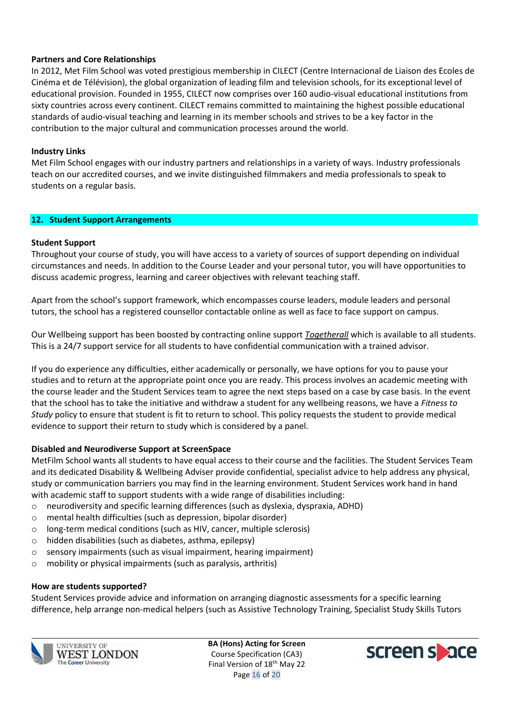### **Partners and Core Relationships**

In 2012, Met Film School was voted prestigious membership in CILECT (Centre Internacional de Liaison des Ecoles de Cinéma et de Télévision), the global organization of leading film and television schools, for its exceptional level of educational provision. Founded in 1955, CILECT now comprises over 160 audio-visual educational institutions from sixty countries across every continent. CILECT remains committed to maintaining the highest possible educational standards of audio-visual teaching and learning in its member schools and strives to be a key factor in the contribution to the major cultural and communication processes around the world.

### **Industry Links**

Met Film School engages with our industry partners and relationships in a variety of ways. Industry professionals teach on our accredited courses, and we invite distinguished filmmakers and media professionals to speak to students on a regular basis.

#### **12. Student Support Arrangements**

#### **Student Support**

Throughout your course of study, you will have access to a variety of sources of support depending on individual circumstances and needs. In addition to the Course Leader and your personal tutor, you will have opportunities to discuss academic progress, learning and career objectives with relevant teaching staff.

Apart from the school's support framework, which encompasses course leaders, module leaders and personal tutors, the school has a registered counsellor contactable online as well as face to face support on campus.

Our Wellbeing support has been boosted by contracting online support *[Togetherall](http://www.togetherall.com/)* which is available to all students. This is a 24/7 support service for all students to have confidential communication with a trained advisor.

If you do experience any difficulties, either academically or personally, we have options for you to pause your studies and to return at the appropriate point once you are ready. This process involves an academic meeting with the course leader and the Student Services team to agree the next steps based on a case by case basis. In the event that the school has to take the initiative and withdraw a student for any wellbeing reasons, we have a *Fitness to Study* policy to ensure that student is fit to return to school. This policy requests the student to provide medical evidence to support their return to study which is considered by a panel.

#### **Disabled and Neurodiverse Support at ScreenSpace**

MetFilm School wants all students to have equal access to their course and the facilities. The Student Services Team and its dedicated Disability & Wellbeing Adviser provide confidential, specialist advice to help address any physical, study or communication barriers you may find in the learning environment. Student Services work hand in hand with academic staff to support students with a wide range of disabilities including:

- $\circ$  neurodiversity and specific learning differences (such as dyslexia, dyspraxia, ADHD)
- o mental health difficulties (such as depression, bipolar disorder)
- o long-term medical conditions (such as HIV, cancer, multiple sclerosis)
- o hidden disabilities (such as diabetes, asthma, epilepsy)
- o sensory impairments (such as visual impairment, hearing impairment)
- o mobility or physical impairments (such as paralysis, arthritis)

#### **How are students supported?**

Student Services provide advice and information on arranging diagnostic assessments for a specific learning difference, help arrange non-medical helpers (such as Assistive Technology Training, Specialist Study Skills Tutors



**BA (Hons) Acting for Screen** Course Specification (CA3) Final Version of 18<sup>th</sup> May 22 Page 16 of 20

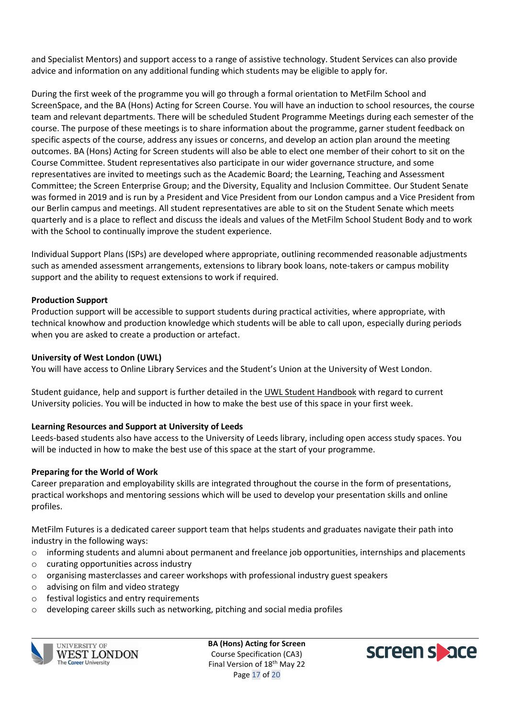and Specialist Mentors) and support access to a range of assistive technology. Student Services can also provide advice and information on any additional funding which students may be eligible to apply for.

During the first week of the programme you will go through a formal orientation to MetFilm School and ScreenSpace, and the BA (Hons) Acting for Screen Course. You will have an induction to school resources, the course team and relevant departments. There will be scheduled Student Programme Meetings during each semester of the course. The purpose of these meetings is to share information about the programme, garner student feedback on specific aspects of the course, address any issues or concerns, and develop an action plan around the meeting outcomes. BA (Hons) Acting for Screen students will also be able to elect one member of their cohort to sit on the Course Committee. Student representatives also participate in our wider governance structure, and some representatives are invited to meetings such as the Academic Board; the Learning, Teaching and Assessment Committee; the Screen Enterprise Group; and the Diversity, Equality and Inclusion Committee. Our Student Senate was formed in 2019 and is run by a President and Vice President from our London campus and a Vice President from our Berlin campus and meetings. All student representatives are able to sit on the Student Senate which meets quarterly and is a place to reflect and discuss the ideals and values of the MetFilm School Student Body and to work with the School to continually improve the student experience.

Individual Support Plans (ISPs) are developed where appropriate, outlining recommended reasonable adjustments such as amended assessment arrangements, extensions to library book loans, note-takers or campus mobility support and the ability to request extensions to work if required.

## **Production Support**

Production support will be accessible to support students during practical activities, where appropriate, with technical knowhow and production knowledge which students will be able to call upon, especially during periods when you are asked to create a production or artefact.

### **University of West London (UWL)**

You will have access to Online Library Services and the Student's Union at the University of West London.

Student guidance, help and support is further detailed in the [UWL Student Handbook](http://www.uwl.ac.uk/students/current-students/student-handbook) with regard to current University policies. You will be inducted in how to make the best use of this space in your first week.

## **Learning Resources and Support at University of Leeds**

Leeds-based students also have access to the University of Leeds library, including open access study spaces. You will be inducted in how to make the best use of this space at the start of your programme.

#### **Preparing for the World of Work**

Career preparation and employability skills are integrated throughout the course in the form of presentations, practical workshops and mentoring sessions which will be used to develop your presentation skills and online profiles.

MetFilm Futures is a dedicated career support team that helps students and graduates navigate their path into industry in the following ways:

- o informing students and alumni about permanent and freelance job opportunities, internships and placements
- o curating opportunities across industry
- $\circ$  organising masterclasses and career workshops with professional industry guest speakers
- o advising on film and video strategy
- o festival logistics and entry requirements
- o developing career skills such as networking, pitching and social media profiles



**UNIVERSITY OF** WEST LONDON **The Career University** 

**BA (Hons) Acting for Screen** Course Specification (CA3) Final Version of 18<sup>th</sup> May 22 Page 17 of 20

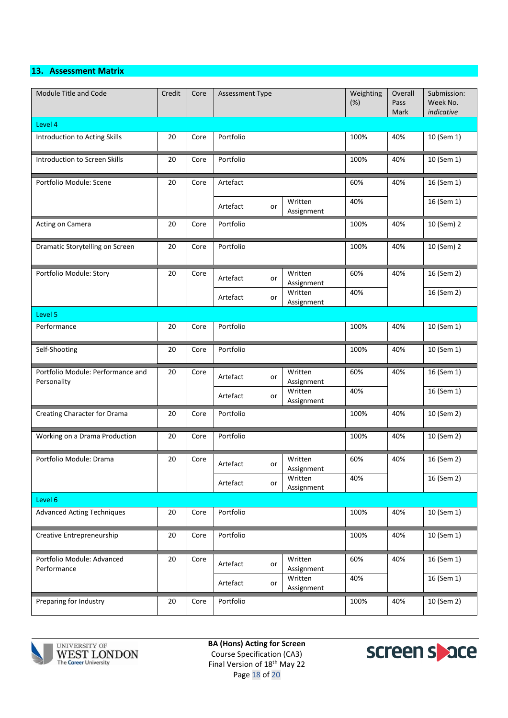## **13. Assessment Matrix**

| Module Title and Code                            | Credit | Core | Assessment Type |                       | Weighting<br>(%) | Overall<br>Pass<br>Mark | Submission:<br>Week No.<br>indicative |  |  |
|--------------------------------------------------|--------|------|-----------------|-----------------------|------------------|-------------------------|---------------------------------------|--|--|
| Level 4                                          |        |      |                 |                       |                  |                         |                                       |  |  |
| Introduction to Acting Skills                    | 20     | Core | Portfolio       |                       | 100%             | 40%                     | 10 (Sem 1)                            |  |  |
| <b>Introduction to Screen Skills</b>             | 20     | Core | Portfolio       | 100%                  | 40%              | 10 (Sem 1)              |                                       |  |  |
| Portfolio Module: Scene                          | 20     | Core | Artefact        |                       | 60%              | 40%                     | 16 (Sem 1)                            |  |  |
|                                                  |        |      | Artefact<br>or  | Written<br>Assignment | 40%              |                         | 16 (Sem 1)                            |  |  |
| Acting on Camera                                 | 20     | Core | Portfolio       |                       | 100%             | 40%                     | 10 (Sem) 2                            |  |  |
| Dramatic Storytelling on Screen                  | 20     | Core | Portfolio       |                       | 100%             | 40%                     | 10 (Sem) 2                            |  |  |
| Portfolio Module: Story                          | 20     | Core | Artefact<br>or  | Written<br>Assignment | 60%              | 40%                     | 16 (Sem 2)                            |  |  |
|                                                  |        |      | Artefact<br>or  | Written<br>Assignment | 40%              |                         | 16 (Sem 2)                            |  |  |
| Level 5                                          |        |      |                 |                       |                  |                         |                                       |  |  |
| Performance                                      | 20     | Core | Portfolio       |                       | 100%             | 40%                     | 10 (Sem 1)                            |  |  |
| Self-Shooting                                    | 20     | Core | Portfolio       |                       | 100%             | 40%                     | 10 (Sem 1)                            |  |  |
| Portfolio Module: Performance and<br>Personality | 20     | Core | Artefact<br>or  | Written<br>Assignment | 60%              | 40%                     | 16 (Sem 1)                            |  |  |
|                                                  |        |      | Artefact<br>or  | Written<br>Assignment | 40%              |                         | 16 (Sem 1)                            |  |  |
| Creating Character for Drama                     | 20     | Core | Portfolio       |                       | 100%             | 40%                     | 10 (Sem 2)                            |  |  |
| Working on a Drama Production                    | 20     | Core | Portfolio       |                       | 100%             | 40%                     | 10 (Sem 2)                            |  |  |
| Portfolio Module: Drama                          | 20     | Core | Artefact<br>or  | Written<br>Assignment | 60%              | 40%                     | 16 (Sem 2)                            |  |  |
|                                                  |        |      | Artefact<br>or  | Written<br>Assignment | 40%              |                         | 16 (Sem 2)                            |  |  |
| Level 6                                          |        |      |                 |                       |                  |                         |                                       |  |  |
| <b>Advanced Acting Techniques</b>                | 20     | Core | Portfolio       |                       | 100%             | 40%                     | 10 (Sem 1)                            |  |  |
| Creative Entrepreneurship                        | 20     | Core | Portfolio       |                       | 100%             | 40%                     | 10 (Sem 1)                            |  |  |
| Portfolio Module: Advanced<br>Performance        | 20     | Core | Artefact<br>or  | Written<br>Assignment | 60%              | 40%                     | 16 (Sem 1)                            |  |  |
|                                                  |        |      | Artefact<br>or  | Written<br>Assignment | 40%              |                         | 16 (Sem 1)                            |  |  |
| Preparing for Industry                           | 20     | Core | Portfolio       |                       | 100%             | 40%                     | 10 (Sem 2)                            |  |  |



UNIVERSITY OF WEST LONDON The Career University

**BA (Hons) Acting for Screen** Course Specification (CA3) Final Version of 18<sup>th</sup> May 22 Page 18 of 20

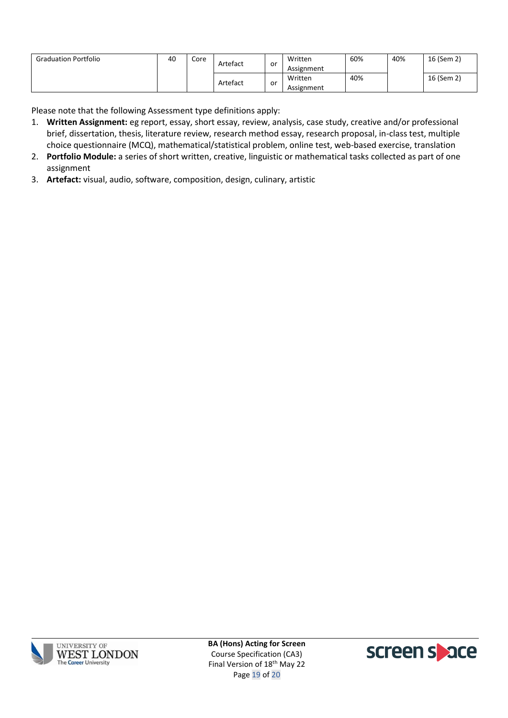| <b>Graduation Portfolio</b> | 40 | Core | Artefact<br>or |    | Written<br>Assignment | 60% | 40% | 16 (Sem 2) |
|-----------------------------|----|------|----------------|----|-----------------------|-----|-----|------------|
|                             |    |      | Artefact       | or | Written<br>Assignment | 40% |     | 16 (Sem 2) |

Please note that the following Assessment type definitions apply:

- 1. **Written Assignment:** eg report, essay, short essay, review, analysis, case study, creative and/or professional brief, dissertation, thesis, literature review, research method essay, research proposal, in-class test, multiple choice questionnaire (MCQ), mathematical/statistical problem, online test, web-based exercise, translation
- 2. **Portfolio Module:** a series of short written, creative, linguistic or mathematical tasks collected as part of one assignment
- 3. **Artefact:** visual, audio, software, composition, design, culinary, artistic



**BA (Hons) Acting for Screen** Course Specification (CA3) Final Version of 18<sup>th</sup> May 22 Page 19 of 20